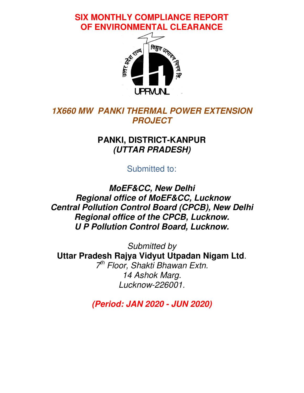**SIX MONTHLY COMPLIANCE REPORT OF ENVIRONMENTAL CLEARANCE** 



## *1X660 MW PANKI THERMAL POWER EXTENSION PROJECT*

## **PANKI, DISTRICT-KANPUR**  *(UTTAR PRADESH)*

Submitted to:

*MoEF&CC, New Delhi Regional office of MoEF&CC, Lucknow Central Pollution Control Board (CPCB), New Delhi Regional office of the CPCB, Lucknow. U P Pollution Control Board, Lucknow.* 

Submitted by **Uttar Pradesh Rajya Vidyut Utpadan Nigam Ltd**. 7<sup>th</sup> Floor, Shakti Bhawan Extn. 14 Ashok Marg. Lucknow-226001.

*(Period: JAN 2020 - JUN 2020)*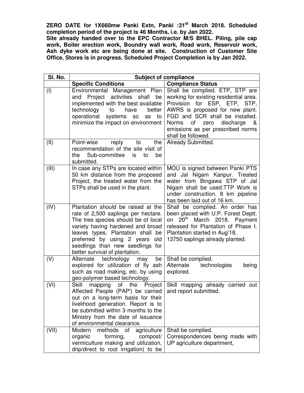**ZERO DATE for 1X660mw Panki Extn, Panki :31st March 2018. Scheduled completion period of the project is 46 Months, i.e. by Jan 2022.** 

**Site already handed over to the EPC Contractor M/S BHEL. Piling, pile cap work, Boiler erection work, Boundry wall work, Road work, Reservoir work, Ash dyke work etc are being done at site. Construction of Customer Site Office, Stores is in progress. Scheduled Project Completion is by Jan 2022.** 

| SI. No. | <b>Subject of compliance</b>                                                                                                                                                                                                                                                                       |                                                                                                                                                                                                                                                                                     |
|---------|----------------------------------------------------------------------------------------------------------------------------------------------------------------------------------------------------------------------------------------------------------------------------------------------------|-------------------------------------------------------------------------------------------------------------------------------------------------------------------------------------------------------------------------------------------------------------------------------------|
|         | <b>Specific Conditions</b>                                                                                                                                                                                                                                                                         | <b>Compliance Status</b>                                                                                                                                                                                                                                                            |
| (I)     | Environmental Management Plan<br>and Project activities shall<br>be<br>implemented with the best available<br>technology<br>have<br>to<br>better<br>operational systems so<br>as<br>to<br>minimize the impact on environment                                                                       | Shall be complied. ETP, STP are<br>working for existing residential area.<br>Provision for ESP, ETP, STP,<br>AWRS is proposed for new plant.<br>FGD and SCR shall be installed.<br>Norms<br>of<br>zero<br>discharge<br>&<br>emissions as per prescribed norms<br>shall be followed. |
| (II)    | Point-wise reply<br>the<br>to<br>recommendation of the site visit of<br>Sub-committee<br>the<br>is<br>to<br>be<br>submitted.                                                                                                                                                                       | Already Submitted.                                                                                                                                                                                                                                                                  |
| (III)   | In case any STPs are located within<br>50 km distance from the proposed<br>Project, the treated water from the<br>STPs shall be used in the plant.                                                                                                                                                 | MOU is signed between Panki PTS<br>and Jal Nigam Kanpur. Treated<br>water from Bingawa STP of Jal<br>Nigam shall be used.TTP Work is<br>under construction. 8 km pipeline<br>has been laid out of 16 km.                                                                            |
| (IV)    | Plantation should be raised at the<br>rate of 2,500 saplings per hectare.<br>The tree species should be of local<br>variety having hardened and broad<br>leaves types. Plantation shall be<br>preferred by using 2 years old<br>seedlings than new seedlings for<br>better survival of plantation. | Shall be complied. An order has<br>been placed with U.P. Forest Deptt.<br>on 20 <sup>th</sup> March 2018. Payment<br>released for Plantation of Phase I.<br>Plantation started in Aug'18.<br>13750 saplings already planted.                                                        |
| (V)     | Alternate technology may<br>be<br>explored for utilization of fly ash<br>such as road making, etc. by using<br>geo-polymer based technology.                                                                                                                                                       | Shall be complied.<br>Alternate<br>technologies<br>being<br>explored.                                                                                                                                                                                                               |
| (VI)    | Skill mapping of the Project<br>Affected People (PAP') be carried<br>out on a long-term basis for their<br>livelihood generation. Report is to<br>be submitted within 3 months to the<br>Ministry from the date of issuance<br>of environmental clearance.                                         | Skill mapping already carried out<br>and report submitted.                                                                                                                                                                                                                          |
| (VII)   | Modern<br>methods of agriculture<br>forming,<br>organic<br>compost/<br>vermiculture making and utilization,<br>drip/direct to root irrigation) to be                                                                                                                                               | Shall be complied.<br>Correspondences being made with<br>UP agriculture department,                                                                                                                                                                                                 |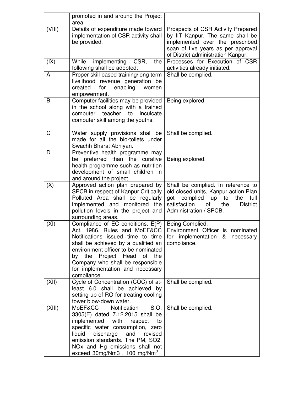|           | promoted in and around the Project                                                                                                                                                                                                                                                                                 |                                                                                                                                                                                                    |
|-----------|--------------------------------------------------------------------------------------------------------------------------------------------------------------------------------------------------------------------------------------------------------------------------------------------------------------------|----------------------------------------------------------------------------------------------------------------------------------------------------------------------------------------------------|
| (VIII)    | area.<br>Details of expenditure made toward<br>implementation of CSR activity shall<br>be provided.                                                                                                                                                                                                                | Prospects of CSR Activity Prepared<br>by IIT Kanpur. The same shall be<br>implemented over the prescribed<br>span of five years as per approval<br>of District administration Kanpur.              |
| (IX)<br>A | CSR,<br>While<br>implementing<br>the<br>following shall be adopted:<br>Proper skill based training/long term                                                                                                                                                                                                       | Processes for Execution of CSR<br>activities already initiated.<br>Shall be complied.                                                                                                              |
|           | livelihood revenue generation be<br>created<br>enabling<br>for<br>women<br>empowerment.                                                                                                                                                                                                                            |                                                                                                                                                                                                    |
| B         | Computer facilities may be provided<br>in the school along with a trained<br>computer teacher<br>to<br>inculcate<br>computer skill among the youths.                                                                                                                                                               | Being explored.                                                                                                                                                                                    |
| C         | Water supply provisions shall be<br>made for all the bio-toilets under<br>Swachh Bharat Abhiyan.                                                                                                                                                                                                                   | Shall be complied.                                                                                                                                                                                 |
| D         | Preventive health programme may<br>be preferred than the curative<br>health programme such as nutrition<br>development of small children in<br>and around the project.                                                                                                                                             | Being explored.                                                                                                                                                                                    |
| (X)       | Approved action plan prepared by<br>SPCB in respect of Kanpur Critically<br>Polluted Area shall be regularly<br>implemented and monitored the<br>pollution levels in the project and<br>surrounding areas.                                                                                                         | Shall be complied. In reference to<br>old closed units, Kanpur action Plan<br>full<br>complied<br>up<br>to<br>the<br>got<br>satisfaction<br>of<br><b>District</b><br>the<br>Administration / SPCB. |
| (XI)      | Compliance of EC conditions, E(P)<br>Act, 1986, Rules and MoEF&CC<br>Notifications issued time to time<br>shall be achieved by a qualified an<br>environment officer to be nominated<br>by the Project Head of the<br>Company who shall be responsible<br>for implementation and necessary<br>compliance.          | Being Complied.<br>Environment Officer is nominated<br>for implementation & necessary<br>compliance.                                                                                               |
| (XII)     | Cycle of Concentration (COC) of at-<br>least 6.0 shall be achieved by<br>setting up of RO for treating cooling<br>tower blow-down water.                                                                                                                                                                           | Shall be complied.                                                                                                                                                                                 |
| (XIII)    | MoEF&CC<br>Notification<br>S.O.<br>3305(E) dated 7.12.2015 shall be<br>implemented with<br>respect<br>to<br>specific water consumption, zero<br>liquid<br>discharge<br>and<br>revised<br>emission standards. The PM, SO2,<br>NO <sub>x</sub> and Hg emissions shall not<br>exceed 30mg/Nm3, 100 mg/Nm <sup>3</sup> | Shall be complied.                                                                                                                                                                                 |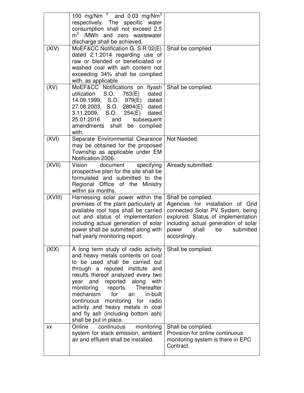|         | 100 mg/Nm $^3$ and 0.03 mg/Nm <sup>3</sup><br>respectively. The specific water<br>consumption shall not exceed 2.5<br>m <sup>3</sup> /MWh and zero wastewater<br>discharge shall be achieved.                                                                                                                                                                                                                                              |                                                                                                                                                                                                                                |
|---------|--------------------------------------------------------------------------------------------------------------------------------------------------------------------------------------------------------------------------------------------------------------------------------------------------------------------------------------------------------------------------------------------------------------------------------------------|--------------------------------------------------------------------------------------------------------------------------------------------------------------------------------------------------------------------------------|
| (XIV)   | MoEF&CC Notification G. S.R 02(E)<br>dated 2.1.2014 regarding use of<br>raw or blended or beneficiated or<br>washed coal with ash content not<br>exceeding 34% shall be complied<br>with, as applicable                                                                                                                                                                                                                                    | Shall be complied.                                                                                                                                                                                                             |
| (XV)    | MoEF&CC Notifications on flyash<br>utilization S.O. 763(E)<br>dated<br>14.09.1999, S.O. 979(E)<br>dated<br>27.08.2003, S.O. 2804(E) dated<br>3.11.2009, S.O. 254(E)<br>dated<br>25.01.2016 and subsequent<br>amendments shall be complied<br>with.                                                                                                                                                                                         | Shall be complied.                                                                                                                                                                                                             |
| (XVI)   | Separate Environmental Clearance<br>may be obtained for the proposed<br>Township as applicable under EM<br>Notification 2006.                                                                                                                                                                                                                                                                                                              | Not Needed.                                                                                                                                                                                                                    |
| (XVII)  | Vision<br>specifying<br>document<br>prospective plan for the site shall be<br>formulated and submitted to the<br>Regional Office of the Ministry<br>within six months.                                                                                                                                                                                                                                                                     | Already submitted.                                                                                                                                                                                                             |
| (XVIII) | Harnessing solar power within the<br>premises of the plant particularly at<br>available roof tops shall be carried<br>out and status of implementation<br>including actual generation of solar<br>power shall be submitted along with<br>half yearly monitoring report.                                                                                                                                                                    | Shall be complied.<br>Agencies for installation of Grid<br>connected Solar PV System, being<br>explored. Status of implementation<br>including actual generation of solar<br>shall<br>power<br>be<br>submitted<br>accordingly. |
| (XIX)   | A long term study of radio activity<br>and heavy metals contents on coal<br>to be used shall be carried out<br>through a reputed institute and<br>results thereof analyzed every two<br>year and reported along<br>with<br>Thereafter<br>monitoring reports.<br>mechanism<br>for<br>in-built<br>an<br>continuous monitoring for radio<br>activity and heavy metals in coal<br>and fly ash (including bottom ash)<br>shall be put in place. | Shall be complied.                                                                                                                                                                                                             |
| XX      | monitoring<br>Online<br>continuous<br>system for stack emission, ambient<br>air and effluent shall be installed.                                                                                                                                                                                                                                                                                                                           | Shall be complied.<br>Provision for online continuous<br>monitoring system is there in EPC<br>Contract.                                                                                                                        |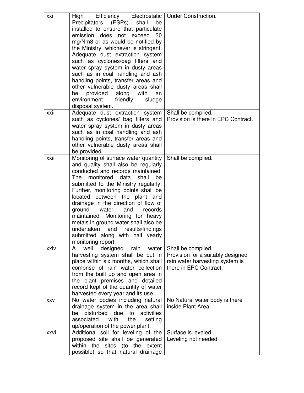| xxi   | Efficiency Electrostatic   Under Construction.<br>High<br>Precipitators<br>(ESPs)<br>shall<br>be<br>installed to ensure that particulate<br>emission does not exceed<br>30<br>mg/Nm3 or as would be notified by<br>the Ministry, whichever is stringent.<br>Adequate dust extraction system<br>such as cyclones/bag filters and<br>water spray system in dusty areas<br>such as in coal handling and ash<br>handling points, transfer areas and<br>other vulnerable dusty areas shall<br>provided<br>along<br>with<br>be<br>an<br>environment<br>friendly<br>sludge<br>disposal system. |                                                                                                                      |
|-------|-----------------------------------------------------------------------------------------------------------------------------------------------------------------------------------------------------------------------------------------------------------------------------------------------------------------------------------------------------------------------------------------------------------------------------------------------------------------------------------------------------------------------------------------------------------------------------------------|----------------------------------------------------------------------------------------------------------------------|
| xxii  | Adequate dust extraction system<br>such as cyclones/ bag filters and<br>water spray system in dusty areas                                                                                                                                                                                                                                                                                                                                                                                                                                                                               | Shall be complied.<br>Provision is there in EPC Contract.                                                            |
|       | such as in coal handling and ash<br>handling points, transfer areas and<br>other vulnerable dusty areas shall<br>be provided.                                                                                                                                                                                                                                                                                                                                                                                                                                                           |                                                                                                                      |
| xxiii | Monitoring of surface water quantity<br>and quality shall also be regularly<br>conducted and records maintained.<br>monitored data<br><b>The</b><br>shall<br>be<br>submitted to the Ministry regularly.<br>Further, monitoring points shall be<br>located between the plant and<br>drainage in the direction of flow of<br>ground<br>and<br>water<br>records<br>maintained. Monitoring for heavy<br>metals in ground water shall also be<br>undertaken and results/findings<br>submitted along with half yearly<br>monitoring report.                                                   | Shall be complied.                                                                                                   |
| xxiv  | designed<br>rain<br>well<br>water<br>A<br>harvesting system shall be put in<br>place within six months, which shall<br>comprise of rain water collection<br>from the built up and open area in<br>the plant premises and detailed<br>record kept of the quantity of water<br>harvested every year and its use.                                                                                                                                                                                                                                                                          | Shall be complied.<br>Provision for a suitably designed<br>rain water harvesting system is<br>there in EPC Contract. |
| XXV   | No water bodies including natural<br>drainage system in the area shall<br>disturbed due<br>to<br>activities<br>be<br>with<br>associated<br>the<br>setting<br>up/operation of the power plant.                                                                                                                                                                                                                                                                                                                                                                                           | No Natural water body is there<br>inside Plant Area.                                                                 |
| xxvi  | Additional soil for leveling of the<br>proposed site shall be generated<br>within the sites (to the extent<br>possible) so that natural drainage                                                                                                                                                                                                                                                                                                                                                                                                                                        | Surface is leveled.<br>Leveling not needed.                                                                          |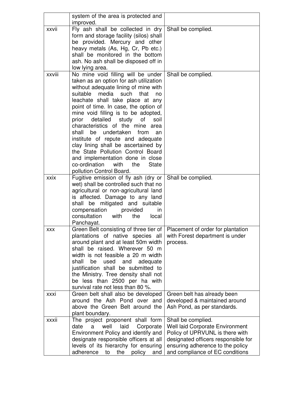|            | system of the area is protected and<br>improved.                                                                                                                                                                                                                                                                                                                                                                                                                                                                                                                                                                                         |                                                                                                                                                                                                               |
|------------|------------------------------------------------------------------------------------------------------------------------------------------------------------------------------------------------------------------------------------------------------------------------------------------------------------------------------------------------------------------------------------------------------------------------------------------------------------------------------------------------------------------------------------------------------------------------------------------------------------------------------------------|---------------------------------------------------------------------------------------------------------------------------------------------------------------------------------------------------------------|
| xxvii      | Fly ash shall be collected in dry<br>form and storage facility (silos) shall<br>be provided. Mercury and other<br>heavy metals (As, Hg, Cr, Pb etc.)<br>shall be monitored in the bottom<br>ash. No ash shall be disposed off in<br>low lying area.                                                                                                                                                                                                                                                                                                                                                                                      | Shall be complied.                                                                                                                                                                                            |
| xxviii     | No mine void filling will be under<br>taken as an option for ash utilization<br>without adequate lining of mine with<br>suitable<br>media such<br>that<br>no<br>leachate shall take place at any<br>point of time. In case, the option of<br>mine void filling is to be adopted,<br>detailed study<br>of<br>prior<br>soil<br>characteristics of the mine area<br>undertaken<br>shall<br>be<br>from<br>an<br>institute of repute and adequate<br>clay lining shall be ascertained by<br>the State Pollution Control Board<br>and implementation done in close<br>co-ordination<br>with<br>the<br><b>State</b><br>pollution Control Board. | Shall be complied.                                                                                                                                                                                            |
| xxix       | Fugitive emission of fly ash (dry or<br>wet) shall be controlled such that no<br>agricultural or non-agricultural land<br>is affected. Damage to any land<br>shall be mitigated and suitable<br>compensation<br>provided<br>in.<br>consultation<br>with<br>local<br>the<br>Panchayat.                                                                                                                                                                                                                                                                                                                                                    | Shall be complied.                                                                                                                                                                                            |
| <b>XXX</b> | Green Belt consisting of three tier of   Placement of order for plantation<br>plantations of native species all<br>around plant and at least 50m width<br>shall be raised. Wherever 50 m<br>width is not feasible a 20 m width<br>shall<br>be<br>used and<br>adequate<br>justification shall be submitted to<br>the Ministry. Tree density shall not<br>be less than 2500 per ha with<br>survival rate not less than 80 %.                                                                                                                                                                                                               | with Forest department is under<br>process.                                                                                                                                                                   |
| xxxi       | Green belt shall also be developed<br>around the Ash Pond over and<br>above the Green Belt around the<br>plant boundary.                                                                                                                                                                                                                                                                                                                                                                                                                                                                                                                 | Green belt has already been<br>developed & maintained around<br>Ash Pond, as per standards.                                                                                                                   |
| xxxii      | The project proponent shall form<br>date<br>well<br>laid<br>Corporate<br>a<br>Environment Policy and identify and<br>designate responsible officers at all<br>levels of its hierarchy for ensuring<br>adherence<br>the<br>policy<br>to<br>and                                                                                                                                                                                                                                                                                                                                                                                            | Shall be complied.<br><b>Well laid Corporate Environment</b><br>Policy of UPRVUNL is there with<br>designated officers responsible for<br>ensuring adherence to the policy<br>and compliance of EC conditions |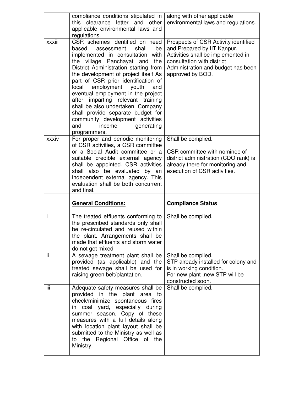|        | compliance conditions stipulated in<br>this clearance letter and other<br>applicable environmental laws and<br>regulations.                                                                                                                                                                                                                                                                                                                                                                                                                         | along with other applicable<br>environmental laws and regulations.                                                                                                                                |
|--------|-----------------------------------------------------------------------------------------------------------------------------------------------------------------------------------------------------------------------------------------------------------------------------------------------------------------------------------------------------------------------------------------------------------------------------------------------------------------------------------------------------------------------------------------------------|---------------------------------------------------------------------------------------------------------------------------------------------------------------------------------------------------|
| xxxiii | CSR schemes identified on need<br>based<br>assessment<br>shall<br>be<br>implemented in consultation with<br>the village Panchayat and<br>the<br>District Administration starting from<br>the development of project itself As<br>part of CSR prior identification of<br>employment youth<br>local<br>and<br>eventual employment in the project<br>imparting relevant training<br>after<br>shall be also undertaken. Company<br>shall provide separate budget for<br>community development activities<br>generating<br>and<br>income<br>programmers. | Prospects of CSR Activity identified<br>and Prepared by IIT Kanpur,<br>Activities shall be implemented in<br>consultation with district<br>Administration and budget has been<br>approved by BOD. |
| xxxiv  | For proper and periodic monitoring<br>of CSR activities, a CSR committee<br>or a Social Audit committee or a<br>suitable credible external agency<br>shall be appointed. CSR activities<br>shall also be evaluated by an<br>independent external agency. This<br>evaluation shall be both concurrent<br>and final.                                                                                                                                                                                                                                  | Shall be complied.<br>CSR committee with nominee of<br>district administration (CDO rank) is<br>already there for monitoring and<br>execution of CSR activities.                                  |
|        |                                                                                                                                                                                                                                                                                                                                                                                                                                                                                                                                                     |                                                                                                                                                                                                   |
|        | <b>General Conditions:</b>                                                                                                                                                                                                                                                                                                                                                                                                                                                                                                                          | <b>Compliance Status</b>                                                                                                                                                                          |
| i      | The treated effluents conforming to<br>the prescribed standards only shall<br>be re-circulated and reused within<br>the plant. Arrangements shall be<br>made that effluents and storm water<br>do not get mixed                                                                                                                                                                                                                                                                                                                                     | Shall be complied.                                                                                                                                                                                |
| ii.    | A sewage treatment plant shall be<br>provided (as applicable) and the<br>treated sewage shall be used for<br>raising green belt/plantation.                                                                                                                                                                                                                                                                                                                                                                                                         | Shall be complied.<br>STP already installed for colony and<br>is in working condition.<br>For new plant, new STP will be<br>constructed soon.                                                     |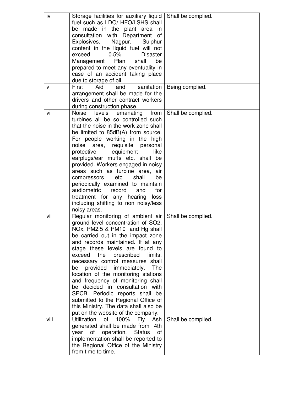| iv   | Storage facilities for auxiliary liquid   Shall be complied.             |                    |
|------|--------------------------------------------------------------------------|--------------------|
|      | fuel such as LDO/ HFO/LSHS shall                                         |                    |
|      | be made in the plant area in                                             |                    |
|      | consultation with Department<br>of                                       |                    |
|      | Explosives,<br>Nagpur.<br>Sulphur                                        |                    |
|      | content in the liquid fuel will not                                      |                    |
|      | $0.5%$ .<br>exceed<br><b>Disaster</b>                                    |                    |
|      | Management<br>Plan<br>shall<br>be                                        |                    |
|      | prepared to meet any eventuality in                                      |                    |
|      | case of an accident taking place                                         |                    |
|      | due to storage of oil.                                                   |                    |
| v    | Aid<br>First<br>and<br>sanitation                                        | Being complied.    |
|      | arrangement shall be made for the                                        |                    |
|      | drivers and other contract workers                                       |                    |
|      | during construction phase.                                               |                    |
| vi   | levels<br>Noise<br>emanating from                                        | Shall be complied. |
|      | turbines all be so controlled such                                       |                    |
|      | that the noise in the work zone shall                                    |                    |
|      | be limited to 85dB(A) from source.                                       |                    |
|      | For people working in the high                                           |                    |
|      | noise<br>area, requisite personal                                        |                    |
|      | equipment<br>like<br>protective                                          |                    |
|      | earplugs/ear muffs etc. shall be                                         |                    |
|      | provided. Workers engaged in noisy                                       |                    |
|      | areas such as turbine area,<br>air                                       |                    |
|      | compressors<br>etc<br>shall<br>be                                        |                    |
|      | periodically examined to maintain                                        |                    |
|      | audiometric<br>record<br>and<br>for                                      |                    |
|      | treatment for any hearing<br>loss                                        |                    |
|      | including shifting to non noisy/less                                     |                    |
|      | noisy areas.                                                             |                    |
| vii  | Regular monitoring of ambient air                                        | Shall be complied. |
|      | ground level concentration of SO2,                                       |                    |
|      | NOx, PM2.5 & PM10 and Hg shall                                           |                    |
|      | be carried out in the impact zone                                        |                    |
|      | and records maintained. If at any                                        |                    |
|      | stage these levels are found to                                          |                    |
|      | exceed<br>prescribed<br>the<br>limits,                                   |                    |
|      | necessary control measures shall<br>The                                  |                    |
|      | provided immediately.<br>be                                              |                    |
|      | location of the monitoring stations<br>and frequency of monitoring shall |                    |
|      | decided in consultation with<br>be                                       |                    |
|      | SPCB. Periodic reports shall be                                          |                    |
|      | submitted to the Regional Office of                                      |                    |
|      | this Ministry. The data shall also be                                    |                    |
|      | put on the website of the company.                                       |                    |
| viii | <b>Utilization</b><br>of<br>100%<br>Ash<br>Fly                           | Shall be complied. |
|      | generated shall be made from<br>4th                                      |                    |
|      | year<br>operation.<br><b>Status</b><br>οf<br>of                          |                    |
|      | implementation shall be reported to                                      |                    |
|      | the Regional Office of the Ministry                                      |                    |
|      | from time to time.                                                       |                    |
|      |                                                                          |                    |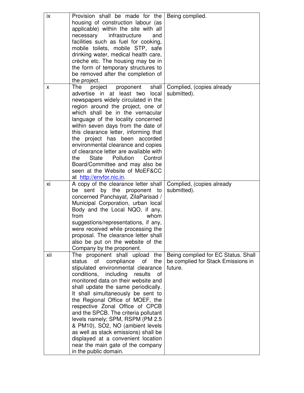| ix  | Provision shall be made for the         | Being complied.                     |
|-----|-----------------------------------------|-------------------------------------|
|     | housing of construction labour (as      |                                     |
|     | applicable) within the site with all    |                                     |
|     | necessary infrastructure<br>and         |                                     |
|     |                                         |                                     |
|     | facilities such as fuel for cooking,    |                                     |
|     | mobile toilets, mobile STP, safe        |                                     |
|     | drinking water, medical health care,    |                                     |
|     | crèche etc. The housing may be in       |                                     |
|     | the form of temporary structures to     |                                     |
|     | be removed after the completion of      |                                     |
|     | the project.                            |                                     |
| X   | shall<br>The<br>project<br>proponent    | Complied, (copies already           |
|     | advertise in at least two<br>local      | submitted).                         |
|     | newspapers widely circulated in the     |                                     |
|     | region around the project, one of       |                                     |
|     | which shall be in the vernacular        |                                     |
|     | language of the locality concerned      |                                     |
|     | within seven days from the date of      |                                     |
|     | this clearance letter, informing that   |                                     |
|     |                                         |                                     |
|     | the project has been accorded           |                                     |
|     | environmental clearance and copies      |                                     |
|     | of clearance letter are available with  |                                     |
|     | the<br>State Pollution<br>Control       |                                     |
|     | Board/Committee and may also be         |                                     |
|     | seen at the Website of MoEF&CC          |                                     |
|     | at http://envfor.nic.in                 |                                     |
| xi  | A copy of the clearance letter shall    | Complied, (copies already           |
|     | be sent by the proponent to             | submitted).                         |
|     | concerned Panchayat, ZilaParisad /      |                                     |
|     | Municipal Corporation, urban local      |                                     |
|     | Body and the Local NQO, if any,         |                                     |
|     | from<br>whom                            |                                     |
|     | suggestions/representations, if any,    |                                     |
|     |                                         |                                     |
|     | were received while processing the      |                                     |
|     | proposal. The clearance letter shall    |                                     |
|     | also be put on the website of the       |                                     |
|     | Company by the proponent.               |                                     |
| xii | The proponent shall upload the          | Being complied for EC Status. Shall |
|     | of<br>compliance<br>the<br>status<br>of | be complied for Stack Emissions in  |
|     | stipulated environmental clearance      | future.                             |
|     | conditions, including results<br>οf     |                                     |
|     | monitored data on their website and     |                                     |
|     | shall update the same periodically.     |                                     |
|     | It shall simultaneously be sent to      |                                     |
|     | the Regional Office of MOEF, the        |                                     |
|     | respective Zonal Office of CPCB         |                                     |
|     | and the SPCB. The criteria pollutant    |                                     |
|     | levels namely; SPM, RSPM (PM 2.5)       |                                     |
|     | & PM10), SO2, NO (ambient levels        |                                     |
|     | as well as stack emissions) shall be    |                                     |
|     |                                         |                                     |
|     | displayed at a convenient location      |                                     |
|     | near the main gate of the company       |                                     |
|     | in the public domain.                   |                                     |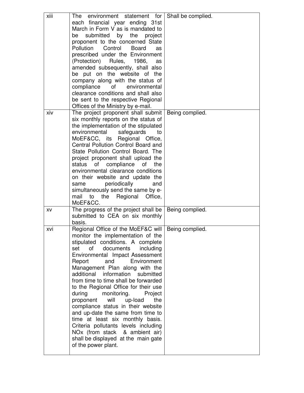| xiii | The environment statement for<br>each financial year ending 31st<br>March in Form V as is mandated to<br>submitted by the project<br>be<br>proponent to the concerned State<br>Pollution<br>Control<br><b>Board</b><br>as<br>prescribed under the Environment<br>(Protection)<br>Rules,<br>1986,<br>as<br>amended subsequently, shall also<br>be put on the website of the<br>company along with the status of<br>compliance<br>of environmental<br>clearance conditions and shall also<br>be sent to the respective Regional<br>Offices of the Ministry by e-mail.                                                                                                                                               | Shall be complied. |
|------|-------------------------------------------------------------------------------------------------------------------------------------------------------------------------------------------------------------------------------------------------------------------------------------------------------------------------------------------------------------------------------------------------------------------------------------------------------------------------------------------------------------------------------------------------------------------------------------------------------------------------------------------------------------------------------------------------------------------|--------------------|
| xiv  | The project proponent shall submit<br>six monthly reports on the status of<br>the implementation of the stipulated<br>environmental<br>safeguards<br>to<br>MoEF&CC, its Regional Office,<br>Central Pollution Control Board and<br>State Pollution Control Board. The<br>project proponent shall upload the<br>of compliance<br>status<br>of<br>the<br>environmental clearance conditions<br>on their website and update the<br>periodically<br>same<br>and<br>simultaneously send the same by e-<br>the<br>Regional<br>Office,<br>mail<br>to<br>MoEF&CC.                                                                                                                                                         | Being complied.    |
| XV   | The progress of the project shall be<br>submitted to CEA on six monthly<br>basis.                                                                                                                                                                                                                                                                                                                                                                                                                                                                                                                                                                                                                                 | Being complied.    |
| xvi  | Regional Office of the MoEF&C will<br>monitor the implementation of the<br>stipulated conditions. A complete<br>documents<br>including<br>set<br>of<br>Environmental Impact Assessment<br>Environment<br>Report<br>and<br>Management Plan along with the<br>additional information<br>submitted<br>from time to time shall be forwarded<br>to the Regional Office for their use<br>during<br>monitoring.<br>Project<br>will<br>up-load<br>the<br>proponent<br>compliance status in their website<br>and up-date the same from time to<br>time at least six monthly basis.<br>Criteria pollutants levels including<br>NOx (from stack & ambient air)<br>shall be displayed at the main gate<br>of the power plant. | Being complied.    |